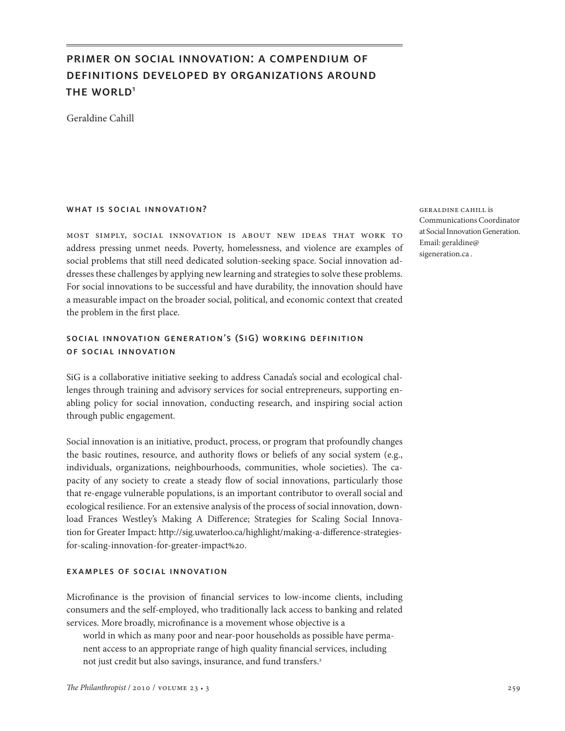# primer on social innovation: a compendium of definitions developed by organizations around THE WORLD<sup>1</sup>

Geraldine Cahill

### WHAT IS SOCIAL INNOVATION?

most simply, social innovation is about new ideas that work to address pressing unmet needs. Poverty, homelessness, and violence are examples of social problems that still need dedicated solution-seeking space. Social innovation addresses these challenges by applying new learning and strategies to solve these problems. For social innovations to be successful and have durability, the innovation should have a measurable impact on the broader social, political, and economic context that created the problem in the first place.

# social innovation generation's (SiG) working definition of social innovation

SiG is a collaborative initiative seeking to address Canada's social and ecological challenges through training and advisory services for social entrepreneurs, supporting enabling policy for social innovation, conducting research, and inspiring social action through public engagement.

Social innovation is an initiative, product, process, or program that profoundly changes the basic routines, resource, and authority flows or beliefs of any social system (e.g., individuals, organizations, neighbourhoods, communities, whole societies). The capacity of any society to create a steady flow of social innovations, particularly those that re-engage vulnerable populations, is an important contributor to overall social and ecological resilience. For an extensive analysis of the process of social innovation, download Frances Westley's Making A Difference; Strategies for Scaling Social Innovation for Greater Impact: http://sig.uwaterloo.ca/highlight/making-a-difference-strategiesfor-scaling-innovation-for-greater-impact%20.

### examples of social innovation

Microfinance is the provision of financial services to low-income clients, including consumers and the self-employed, who traditionally lack access to banking and related services. More broadly, microfinance is a movement whose objective is a

world in which as many poor and near-poor households as possible have permanent access to an appropriate range of high quality financial services, including not just credit but also savings, insurance, and fund transfers.<sup>2</sup>

geraldine cahill is Communications Coordinator at Social Innovation Generation. Email: geraldine@ sigeneration.ca .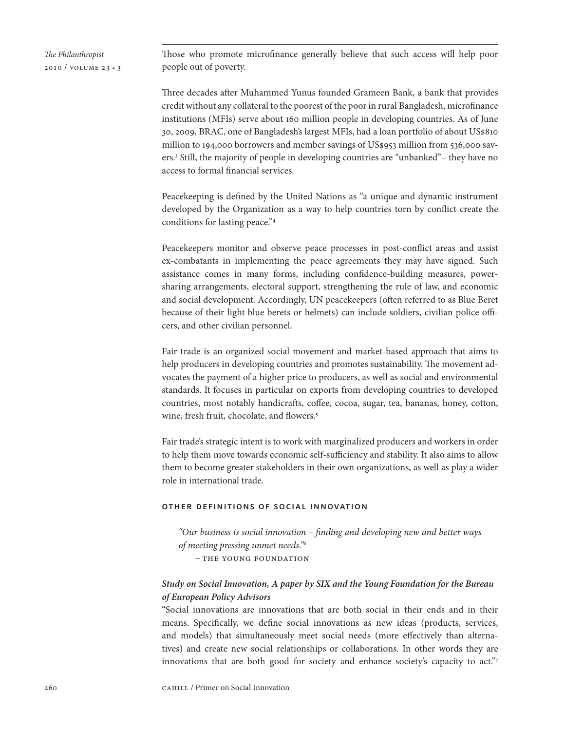Those who promote microfinance generally believe that such access will help poor people out of poverty.

Three decades after Muhammed Yunus founded Grameen Bank, a bank that provides credit without any collateral to the poorest of the poor in rural Bangladesh, microfinance institutions (MFIs) serve about 160 million people in developing countries. As of June 30, 2009, BRAC, one of Bangladesh's largest MFIs, had a loan portfolio of about US\$810 million to 194,000 borrowers and member savings of US\$953 million from 536,000 savers.3 Still, the majority of people in developing countries are "unbanked"– they have no access to formal financial services.

Peacekeeping is defined by the United Nations as "a unique and dynamic instrument developed by the Organization as a way to help countries torn by conflict create the conditions for lasting peace."4

Peacekeepers monitor and observe peace processes in post-conflict areas and assist ex-combatants in implementing the peace agreements they may have signed. Such assistance comes in many forms, including confidence-building measures, powersharing arrangements, electoral support, strengthening the rule of law, and economic and social development. Accordingly, UN peacekeepers (often referred to as Blue Beret because of their light blue berets or helmets) can include soldiers, civilian police officers, and other civilian personnel.

Fair trade is an organized social movement and market-based approach that aims to help producers in developing countries and promotes sustainability. The movement advocates the payment of a higher price to producers, as well as social and environmental standards. It focuses in particular on exports from developing countries to developed countries, most notably handicrafts, coffee, cocoa, sugar, tea, bananas, honey, cotton, wine, fresh fruit, chocolate, and flowers.<sup>5</sup>

Fair trade's strategic intent is to work with marginalized producers and workers in order to help them move towards economic self-sufficiency and stability. It also aims to allow them to become greater stakeholders in their own organizations, as well as play a wider role in international trade.

### other definitions of social innovation

*"Our business is social innovation – finding and developing new and better ways of meeting pressing unmet needs."6*

*–* the young foundation

# *Study on Social Innovation, A paper by SIX and the Young Foundation for the Bureau of European Policy Advisors*

"Social innovations are innovations that are both social in their ends and in their means. Specifically, we define social innovations as new ideas (products, services, and models) that simultaneously meet social needs (more effectively than alternatives) and create new social relationships or collaborations. In other words they are innovations that are both good for society and enhance society's capacity to act."7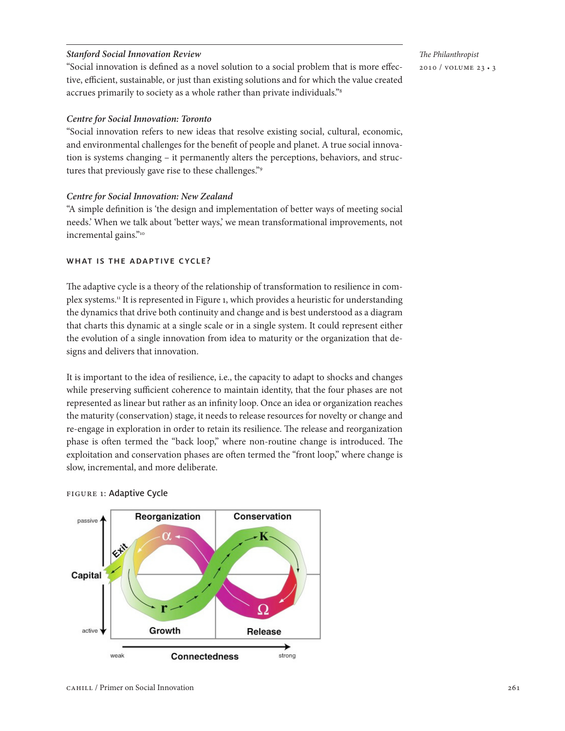### *Stanford Social Innovation Review*

"Social innovation is defined as a novel solution to a social problem that is more effective, efficient, sustainable, or just than existing solutions and for which the value created accrues primarily to society as a whole rather than private individuals."8

### *Centre for Social Innovation: Toronto*

"Social innovation refers to new ideas that resolve existing social, cultural, economic, and environmental challenges for the benefit of people and planet. A true social innovation is systems changing – it permanently alters the perceptions, behaviors, and structures that previously gave rise to these challenges."9

#### *Centre for Social Innovation: New Zealand*

"A simple definition is 'the design and implementation of better ways of meeting social needs.' When we talk about 'better ways,' we mean transformational improvements, not incremental gains."10

### WHAT IS THE ADAPTIVE CYCLE?

The adaptive cycle is a theory of the relationship of transformation to resilience in complex systems.<sup>11</sup> It is represented in Figure 1, which provides a heuristic for understanding the dynamics that drive both continuity and change and is best understood as a diagram that charts this dynamic at a single scale or in a single system. It could represent either the evolution of a single innovation from idea to maturity or the organization that designs and delivers that innovation.

It is important to the idea of resilience, i.e., the capacity to adapt to shocks and changes while preserving sufficient coherence to maintain identity, that the four phases are not represented as linear but rather as an infinity loop. Once an idea or organization reaches the maturity (conservation) stage, it needs to release resources for novelty or change and re-engage in exploration in order to retain its resilience. The release and reorganization phase is often termed the "back loop," where non-routine change is introduced. The exploitation and conservation phases are often termed the "front loop," where change is slow, incremental, and more deliberate.

#### figure 1: Adaptive Cycle

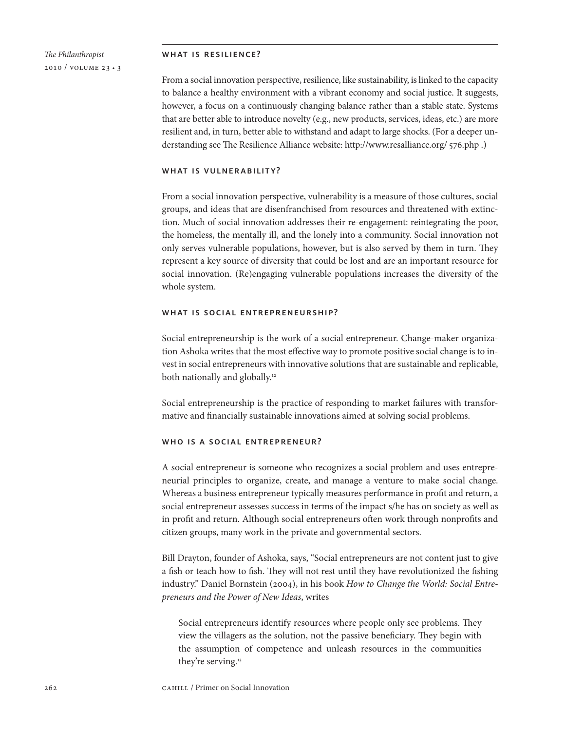#### what is resilience?

From a social innovation perspective, resilience, like sustainability, is linked to the capacity to balance a healthy environment with a vibrant economy and social justice. It suggests, however, a focus on a continuously changing balance rather than a stable state. Systems that are better able to introduce novelty (e.g., new products, services, ideas, etc.) are more resilient and, in turn, better able to withstand and adapt to large shocks. (For a deeper understanding see The Resilience Alliance website: http://www.resalliance.org/ 576.php .)

### what is vulnerability?

From a social innovation perspective, vulnerability is a measure of those cultures, social groups, and ideas that are disenfranchised from resources and threatened with extinction. Much of social innovation addresses their re-engagement: reintegrating the poor, the homeless, the mentally ill, and the lonely into a community. Social innovation not only serves vulnerable populations, however, but is also served by them in turn. They represent a key source of diversity that could be lost and are an important resource for social innovation. (Re)engaging vulnerable populations increases the diversity of the whole system.

#### what is social entrepreneurship?

Social entrepreneurship is the work of a social entrepreneur. Change-maker organization Ashoka writes that the most effective way to promote positive social change is to invest in social entrepreneurs with innovative solutions that are sustainable and replicable, both nationally and globally.<sup>12</sup>

Social entrepreneurship is the practice of responding to market failures with transformative and financially sustainable innovations aimed at solving social problems.

### who is a social entrepreneur?

A social entrepreneur is someone who recognizes a social problem and uses entrepreneurial principles to organize, create, and manage a venture to make social change. Whereas a business entrepreneur typically measures performance in profit and return, a social entrepreneur assesses success in terms of the impact s/he has on society as well as in profit and return. Although social entrepreneurs often work through nonprofits and citizen groups, many work in the private and governmental sectors.

Bill Drayton, founder of Ashoka, says, "Social entrepreneurs are not content just to give a fish or teach how to fish. They will not rest until they have revolutionized the fishing industry." Daniel Bornstein (2004), in his book *How to Change the World: Social Entrepreneurs and the Power of New Ideas*, writes

Social entrepreneurs identify resources where people only see problems. They view the villagers as the solution, not the passive beneficiary. They begin with the assumption of competence and unleash resources in the communities they're serving.13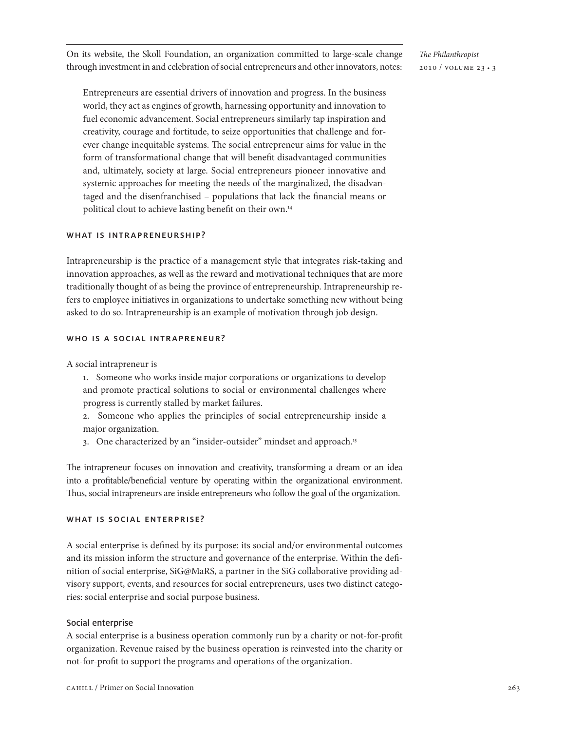On its website, the Skoll Foundation, an organization committed to large-scale change through investment in and celebration of social entrepreneurs and other innovators, notes:

*The Philanthropist* 2010 / volume 23 • 3

Entrepreneurs are essential drivers of innovation and progress. In the business world, they act as engines of growth, harnessing opportunity and innovation to fuel economic advancement. Social entrepreneurs similarly tap inspiration and creativity, courage and fortitude, to seize opportunities that challenge and forever change inequitable systems. The social entrepreneur aims for value in the form of transformational change that will benefit disadvantaged communities and, ultimately, society at large. Social entrepreneurs pioneer innovative and systemic approaches for meeting the needs of the marginalized, the disadvantaged and the disenfranchised – populations that lack the financial means or political clout to achieve lasting benefit on their own.14

### WHAT IS INTRAPRENEURSHIP?

Intrapreneurship is the practice of a management style that integrates risk-taking and innovation approaches, as well as the reward and motivational techniques that are more traditionally thought of as being the province of entrepreneurship. Intrapreneurship refers to employee initiatives in organizations to undertake something new without being asked to do so. Intrapreneurship is an example of motivation through job design.

#### WHO IS A SOCIAL INTRAPRENEUR?

A social intrapreneur is

1. Someone who works inside major corporations or organizations to develop and promote practical solutions to social or environmental challenges where progress is currently stalled by market failures.

2. Someone who applies the principles of social entrepreneurship inside a major organization.

3. One characterized by an "insider-outsider" mindset and approach.<sup>15</sup>

The intrapreneur focuses on innovation and creativity, transforming a dream or an idea into a profitable/beneficial venture by operating within the organizational environment. Thus, social intrapreneurs are inside entrepreneurs who follow the goal of the organization.

### WHAT IS SOCIAL ENTERPRISE?

A social enterprise is defined by its purpose: its social and/or environmental outcomes and its mission inform the structure and governance of the enterprise. Within the definition of social enterprise, SiG@MaRS, a partner in the SiG collaborative providing advisory support, events, and resources for social entrepreneurs, uses two distinct categories: social enterprise and social purpose business.

#### Social enterprise

A social enterprise is a business operation commonly run by a charity or not-for-profit organization. Revenue raised by the business operation is reinvested into the charity or not-for-profit to support the programs and operations of the organization.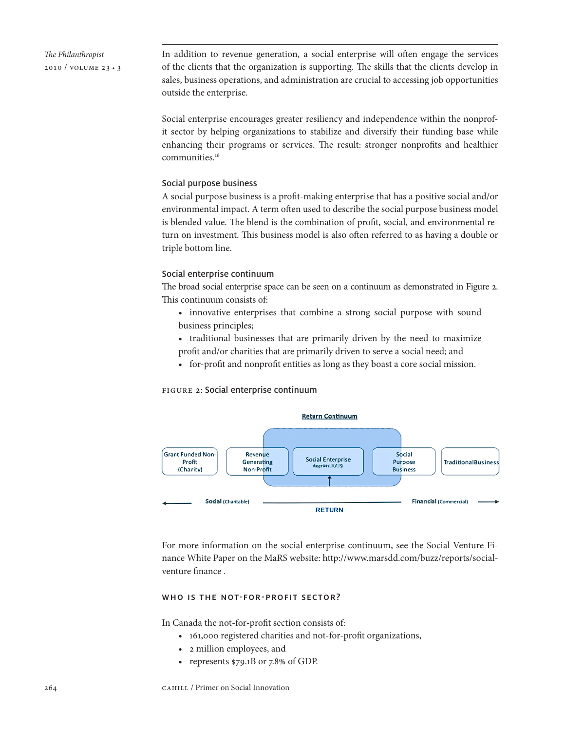In addition to revenue generation, a social enterprise will often engage the services of the clients that the organization is supporting. The skills that the clients develop in sales, business operations, and administration are crucial to accessing job opportunities outside the enterprise.

Social enterprise encourages greater resiliency and independence within the nonprofit sector by helping organizations to stabilize and diversify their funding base while enhancing their programs or services. The result: stronger nonprofits and healthier communities.16

### Social purpose business

A social purpose business is a profit-making enterprise that has a positive social and/or environmental impact. A term often used to describe the social purpose business model is blended value. The blend is the combination of profit, social, and environmental return on investment. This business model is also often referred to as having a double or triple bottom line.

### Social enterprise continuum

The broad social enterprise space can be seen on a continuum as demonstrated in Figure 2. This continuum consists of:

- innovative enterprises that combine a strong social purpose with sound business principles;
- traditional businesses that are primarily driven by the need to maximize profit and/or charities that are primarily driven to serve a social need; and
- • for-profit and nonprofit entities as long as they boast a core social mission.

### figure 2: Social enterprise continuum



For more information on the social enterprise continuum, see the Social Venture Finance White Paper on the MaRS website: http://www.marsdd.com/buzz/reports/socialventure finance .

### WHO IS THE NOT-FOR-PROFIT SECTOR?

In Canada the not-for-profit section consists of:

- • 161,000 registered charities and not-for-profit organizations,
- • 2 million employees, and
- represents \$79.1B or 7.8% of GDP.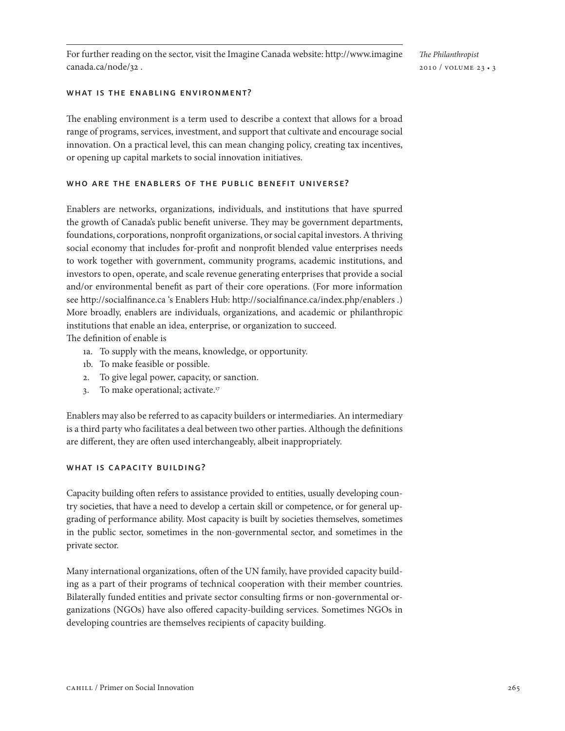For further reading on the sector, visit the Imagine Canada website: http://www.imagine canada.ca/node/32 .

*The Philanthropist* 2010 / volume 23 • 3

### what is the enabling environment?

The enabling environment is a term used to describe a context that allows for a broad range of programs, services, investment, and support that cultivate and encourage social innovation. On a practical level, this can mean changing policy, creating tax incentives, or opening up capital markets to social innovation initiatives.

### who are the enablers of the public benefit universe?

Enablers are networks, organizations, individuals, and institutions that have spurred the growth of Canada's public benefit universe. They may be government departments, foundations, corporations, nonprofit organizations, or social capital investors. A thriving social economy that includes for-profit and nonprofit blended value enterprises needs to work together with government, community programs, academic institutions, and investors to open, operate, and scale revenue generating enterprises that provide a social and/or environmental benefit as part of their core operations. (For more information see http://socialfinance.ca 's Enablers Hub: http://socialfinance.ca/index.php/enablers .) More broadly, enablers are individuals, organizations, and academic or philanthropic institutions that enable an idea, enterprise, or organization to succeed.

The definition of enable is

- 1a. To supply with the means, knowledge, or opportunity.
- 1b. To make feasible or possible.
- 2. To give legal power, capacity, or sanction.
- 3. To make operational; activate.<sup>17</sup>

Enablers may also be referred to as capacity builders or intermediaries. An intermediary is a third party who facilitates a deal between two other parties. Although the definitions are different, they are often used interchangeably, albeit inappropriately.

### WHAT IS CAPACITY BUILDING?

Capacity building often refers to assistance provided to entities, usually developing country societies, that have a need to develop a certain skill or competence, or for general upgrading of performance ability. Most capacity is built by societies themselves, sometimes in the public sector, sometimes in the non-governmental sector, and sometimes in the private sector.

Many international organizations, often of the UN family, have provided capacity building as a part of their programs of technical cooperation with their member countries. Bilaterally funded entities and private sector consulting firms or non-governmental organizations (NGOs) have also offered capacity-building services. Sometimes NGOs in developing countries are themselves recipients of capacity building.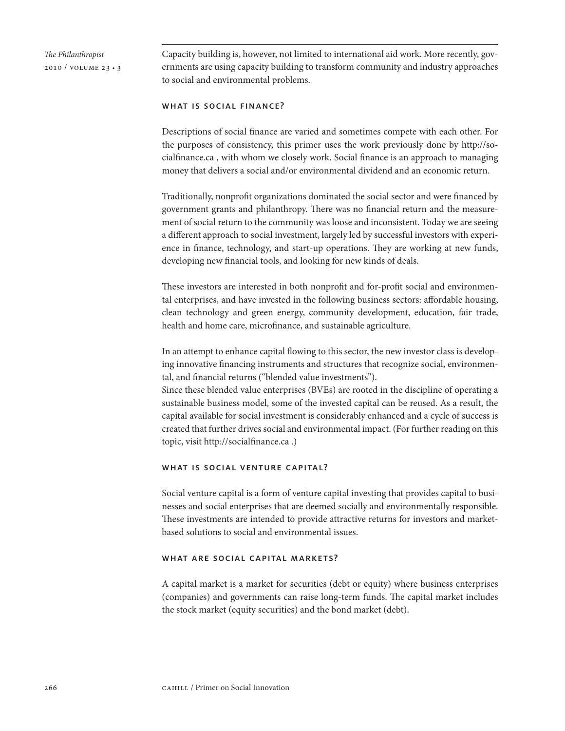Capacity building is, however, not limited to international aid work. More recently, governments are using capacity building to transform community and industry approaches to social and environmental problems.

### WHAT IS SOCIAL FINANCE?

Descriptions of social finance are varied and sometimes compete with each other. For the purposes of consistency, this primer uses the work previously done by http://socialfinance.ca , with whom we closely work. Social finance is an approach to managing money that delivers a social and/or environmental dividend and an economic return.

Traditionally, nonprofit organizations dominated the social sector and were financed by government grants and philanthropy. There was no financial return and the measurement of social return to the community was loose and inconsistent. Today we are seeing a different approach to social investment, largely led by successful investors with experience in finance, technology, and start-up operations. They are working at new funds, developing new financial tools, and looking for new kinds of deals.

These investors are interested in both nonprofit and for-profit social and environmental enterprises, and have invested in the following business sectors: affordable housing, clean technology and green energy, community development, education, fair trade, health and home care, microfinance, and sustainable agriculture.

In an attempt to enhance capital flowing to this sector, the new investor class is developing innovative financing instruments and structures that recognize social, environmental, and financial returns ("blended value investments").

Since these blended value enterprises (BVEs) are rooted in the discipline of operating a sustainable business model, some of the invested capital can be reused. As a result, the capital available for social investment is considerably enhanced and a cycle of success is created that further drives social and environmental impact. (For further reading on this topic, visit http://socialfinance.ca .)

### what is social venture capital?

Social venture capital is a form of venture capital investing that provides capital to businesses and social enterprises that are deemed socially and environmentally responsible. These investments are intended to provide attractive returns for investors and marketbased solutions to social and environmental issues.

### what are social capital markets?

A capital market is a market for securities (debt or equity) where business enterprises (companies) and governments can raise long-term funds. The capital market includes the stock market (equity securities) and the bond market (debt).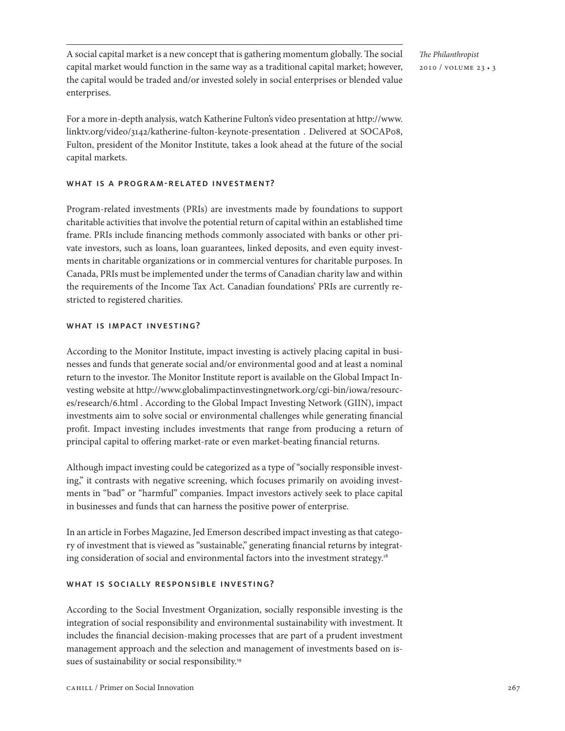A social capital market is a new concept that is gathering momentum globally. The social capital market would function in the same way as a traditional capital market; however, the capital would be traded and/or invested solely in social enterprises or blended value enterprises.

*The Philanthropist* 2010 / volume 23 • 3

For a more in-depth analysis, watch Katherine Fulton's video presentation at http://www. linktv.org/video/3142/katherine-fulton-keynote-presentation . Delivered at SOCAP08, Fulton, president of the Monitor Institute, takes a look ahead at the future of the social capital markets.

### WHAT IS A PROGRAM-RELATED INVESTMENT?

Program-related investments (PRIs) are investments made by foundations to support charitable activities that involve the potential return of capital within an established time frame. PRIs include financing methods commonly associated with banks or other private investors, such as loans, loan guarantees, linked deposits, and even equity investments in charitable organizations or in commercial ventures for charitable purposes. In Canada, PRIs must be implemented under the terms of Canadian charity law and within the requirements of the Income Tax Act. Canadian foundations' PRIs are currently restricted to registered charities.

# WHAT IS IMPACT INVESTING?

According to the Monitor Institute, impact investing is actively placing capital in businesses and funds that generate social and/or environmental good and at least a nominal return to the investor. The Monitor Institute report is available on the Global Impact Investing website at http://www.globalimpactinvestingnetwork.org/cgi-bin/iowa/resources/research/6.html . According to the Global Impact Investing Network (GIIN), impact investments aim to solve social or environmental challenges while generating financial profit. Impact investing includes investments that range from producing a return of principal capital to offering market-rate or even market-beating financial returns.

Although impact investing could be categorized as a type of "socially responsible investing," it contrasts with negative screening, which focuses primarily on avoiding investments in "bad" or "harmful" companies. Impact investors actively seek to place capital in businesses and funds that can harness the positive power of enterprise.

In an article in Forbes Magazine, Jed Emerson described impact investing as that category of investment that is viewed as "sustainable," generating financial returns by integrating consideration of social and environmental factors into the investment strategy.<sup>18</sup>

# WHAT IS SOCIALLY RESPONSIBLE INVESTING?

According to the Social Investment Organization, socially responsible investing is the integration of social responsibility and environmental sustainability with investment. It includes the financial decision-making processes that are part of a prudent investment management approach and the selection and management of investments based on issues of sustainability or social responsibility.<sup>19</sup>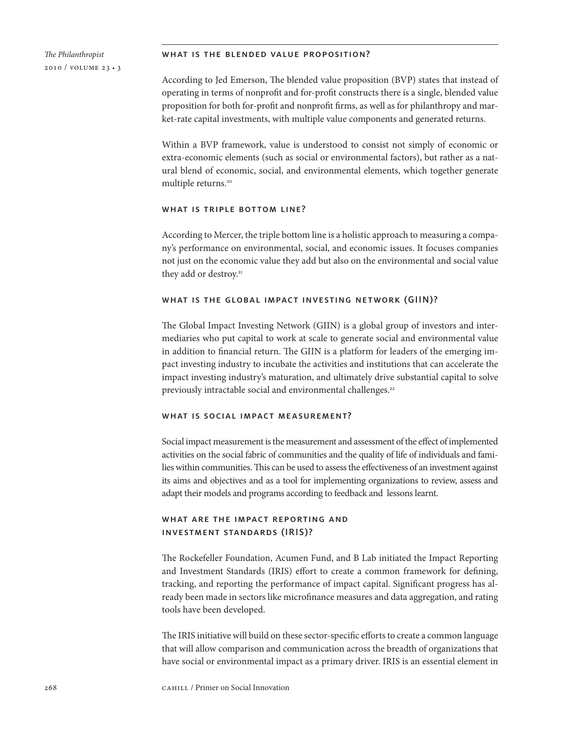#### what is the blended value proposition?

According to Jed Emerson, The blended value proposition (BVP) states that instead of operating in terms of nonprofit and for-profit constructs there is a single, blended value proposition for both for-profit and nonprofit firms, as well as for philanthropy and market-rate capital investments, with multiple value components and generated returns.

Within a BVP framework, value is understood to consist not simply of economic or extra-economic elements (such as social or environmental factors), but rather as a natural blend of economic, social, and environmental elements, which together generate multiple returns.<sup>20</sup>

#### what is triple bottom line?

According to Mercer, the triple bottom line is a holistic approach to measuring a company's performance on environmental, social, and economic issues. It focuses companies not just on the economic value they add but also on the environmental and social value they add or destroy.<sup>21</sup>

### what is the global impact investing network (GIIN)?

The Global Impact Investing Network (GIIN) is a global group of investors and intermediaries who put capital to work at scale to generate social and environmental value in addition to financial return. The GIIN is a platform for leaders of the emerging impact investing industry to incubate the activities and institutions that can accelerate the impact investing industry's maturation, and ultimately drive substantial capital to solve previously intractable social and environmental challenges.<sup>22</sup>

### what is social impact measurement?

Social impact measurement is the measurement and assessment of the effect of implemented activities on the social fabric of communities and the quality of life of individuals and families within communities. This can be used to assess the effectiveness of an investment against its aims and objectives and as a tool for implementing organizations to review, assess and adapt their models and programs according to feedback and lessons learnt.

# what are the impact reporting and investment standards (IRIS)?

The Rockefeller Foundation, Acumen Fund, and B Lab initiated the Impact Reporting and Investment Standards (IRIS) effort to create a common framework for defining, tracking, and reporting the performance of impact capital. Significant progress has already been made in sectors like microfinance measures and data aggregation, and rating tools have been developed.

The IRIS initiative will build on these sector-specific efforts to create a common language that will allow comparison and communication across the breadth of organizations that have social or environmental impact as a primary driver. IRIS is an essential element in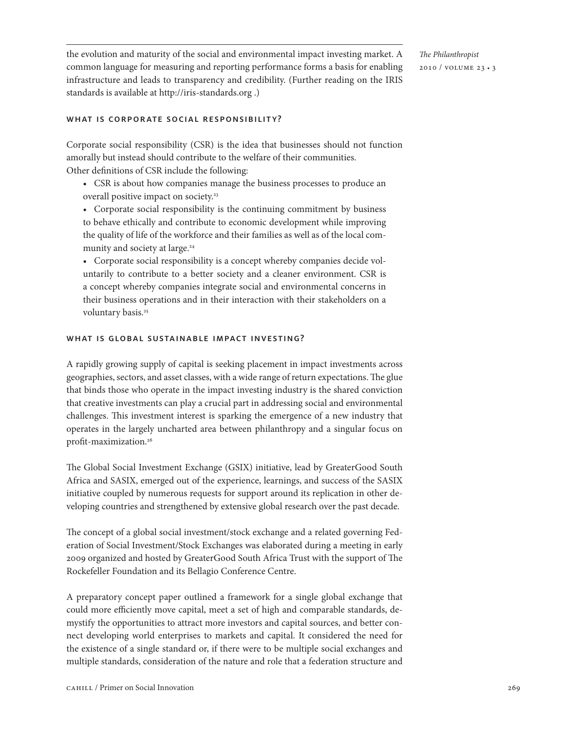the evolution and maturity of the social and environmental impact investing market. A common language for measuring and reporting performance forms a basis for enabling infrastructure and leads to transparency and credibility. (Further reading on the IRIS standards is available at http://iris-standards.org .)

### WHAT IS CORPORATE SOCIAL RESPONSIBILITY?

Corporate social responsibility (CSR) is the idea that businesses should not function amorally but instead should contribute to the welfare of their communities. Other definitions of CSR include the following:

- • CSR is about how companies manage the business processes to produce an overall positive impact on society.<sup>23</sup>
- Corporate social responsibility is the continuing commitment by business to behave ethically and contribute to economic development while improving the quality of life of the workforce and their families as well as of the local community and society at large.<sup>24</sup>
- • Corporate social responsibility is a concept whereby companies decide voluntarily to contribute to a better society and a cleaner environment. CSR is a concept whereby companies integrate social and environmental concerns in their business operations and in their interaction with their stakeholders on a voluntary basis.<sup>25</sup>

### WHAT IS GLOBAL SUSTAINABLE IMPACT INVESTING?

A rapidly growing supply of capital is seeking placement in impact investments across geographies, sectors, and asset classes, with a wide range of return expectations. The glue that binds those who operate in the impact investing industry is the shared conviction that creative investments can play a crucial part in addressing social and environmental challenges. This investment interest is sparking the emergence of a new industry that operates in the largely uncharted area between philanthropy and a singular focus on profit-maximization.26

The Global Social Investment Exchange (GSIX) initiative, lead by GreaterGood South Africa and SASIX, emerged out of the experience, learnings, and success of the SASIX initiative coupled by numerous requests for support around its replication in other developing countries and strengthened by extensive global research over the past decade.

The concept of a global social investment/stock exchange and a related governing Federation of Social Investment/Stock Exchanges was elaborated during a meeting in early 2009 organized and hosted by GreaterGood South Africa Trust with the support of The Rockefeller Foundation and its Bellagio Conference Centre.

A preparatory concept paper outlined a framework for a single global exchange that could more efficiently move capital, meet a set of high and comparable standards, demystify the opportunities to attract more investors and capital sources, and better connect developing world enterprises to markets and capital. It considered the need for the existence of a single standard or, if there were to be multiple social exchanges and multiple standards, consideration of the nature and role that a federation structure and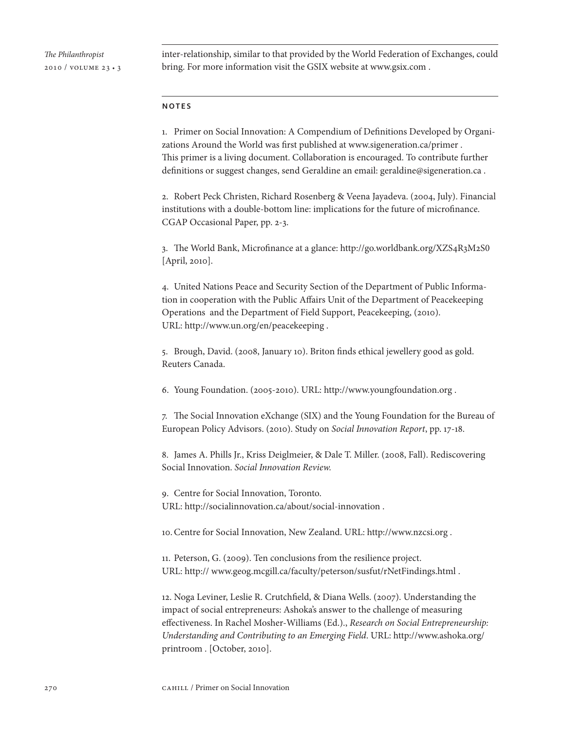inter-relationship, similar to that provided by the World Federation of Exchanges, could bring. For more information visit the GSIX website at www.gsix.com .

#### notes

1. Primer on Social Innovation: A Compendium of Definitions Developed by Organizations Around the World was first published at www.sigeneration.ca/primer . This primer is a living document. Collaboration is encouraged. To contribute further definitions or suggest changes, send Geraldine an email: geraldine@sigeneration.ca .

2. Robert Peck Christen, Richard Rosenberg & Veena Jayadeva. (2004, July). Financial institutions with a double-bottom line: implications for the future of microfinance. CGAP Occasional Paper, pp. 2-3.

3. The World Bank, Microfinance at a glance: http://go.worldbank.org/XZS4R3M2S0 [April, 2010].

4. United Nations Peace and Security Section of the Department of Public Information in cooperation with the Public Affairs Unit of the Department of Peacekeeping Operations and the Department of Field Support, Peacekeeping, (2010). URL: http://www.un.org/en/peacekeeping .

5. Brough, David. (2008, January 10). Briton finds ethical jewellery good as gold. Reuters Canada.

6. Young Foundation. (2005-2010). URL: http://www.youngfoundation.org .

7. The Social Innovation eXchange (SIX) and the Young Foundation for the Bureau of European Policy Advisors. (2010). Study on *Social Innovation Report*, pp. 17-18.

8. James A. Phills Jr., Kriss Deiglmeier, & Dale T. Miller. (2008, Fall). Rediscovering Social Innovation. *Social Innovation Review.*

9. Centre for Social Innovation, Toronto. URL: http://socialinnovation.ca/about/social-innovation .

10.Centre for Social Innovation, New Zealand. URL: http://www.nzcsi.org .

11. Peterson, G. (2009). Ten conclusions from the resilience project. URL: http:// www.geog.mcgill.ca/faculty/peterson/susfut/rNetFindings.html .

12. Noga Leviner, Leslie R. Crutchfield, & Diana Wells. (2007). Understanding the impact of social entrepreneurs: Ashoka's answer to the challenge of measuring effectiveness. In Rachel Mosher-Williams (Ed.)., *Research on Social Entrepreneurship: Understanding and Contributing to an Emerging Field*. URL: http://www.ashoka.org/ printroom . [October, 2010].